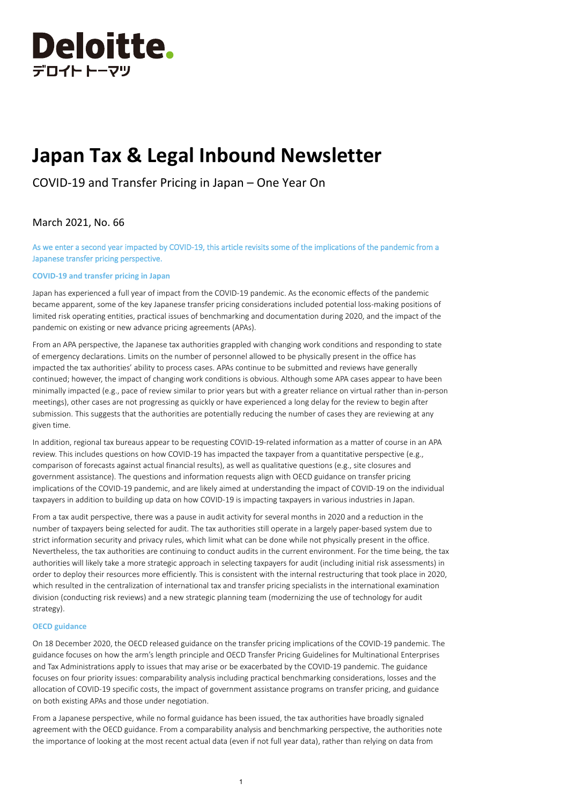

# **Japan Tax & Legal Inbound Newsletter**

COVID-19 and Transfer Pricing in Japan – One Year On

# March 2021, No. 66

As we enter a second year impacted by COVID-19, this article revisits some of the implications of the pandemic from a Japanese transfer pricing perspective.

## **COVID-19 and transfer pricing in Japan**

Japan has experienced a full year of impact from the COVID-19 pandemic. As the economic effects of the pandemic became apparent, some of the key Japanese transfer pricing considerations included potential loss-making positions of limited risk operating entities, practical issues of benchmarking and documentation during 2020, and the impact of the pandemic on existing or new advance pricing agreements (APAs).

From an APA perspective, the Japanese tax authorities grappled with changing work conditions and responding to state of emergency declarations. Limits on the number of personnel allowed to be physically present in the office has impacted the tax authorities' ability to process cases. APAs continue to be submitted and reviews have generally continued; however, the impact of changing work conditions is obvious. Although some APA cases appear to have been minimally impacted (e.g., pace of review similar to prior years but with a greater reliance on virtual rather than in-person meetings), other cases are not progressing as quickly or have experienced a long delay for the review to begin after submission. This suggests that the authorities are potentially reducing the number of cases they are reviewing at any given time.

In addition, regional tax bureaus appear to be requesting COVID-19-related information as a matter of course in an APA review. This includes questions on how COVID-19 has impacted the taxpayer from a quantitative perspective (e.g., comparison of forecasts against actual financial results), as well as qualitative questions (e.g., site closures and government assistance). The questions and information requests align with OECD guidance on transfer pricing implications of the COVID-19 pandemic, and are likely aimed at understanding the impact of COVID-19 on the individual taxpayers in addition to building up data on how COVID-19 is impacting taxpayers in various industries in Japan.

From a tax audit perspective, there was a pause in audit activity for several months in 2020 and a reduction in the number of taxpayers being selected for audit. The tax authorities still operate in a largely paper-based system due to strict information security and privacy rules, which limit what can be done while not physically present in the office. Nevertheless, the tax authorities are continuing to conduct audits in the current environment. For the time being, the tax authorities will likely take a more strategic approach in selecting taxpayers for audit (including initial risk assessments) in order to deploy their resources more efficiently. This is consistent with the internal restructuring that took place in 2020, which resulted in the centralization of international tax and transfer pricing specialists in the international examination division (conducting risk reviews) and a new strategic planning team (modernizing the use of technology for audit strategy).

#### **OECD guidance**

On 18 December 2020, the OECD released guidance on the transfer pricing implications of the COVID-19 pandemic. The guidance focuses on how the arm's length principle and OECD Transfer Pricing Guidelines for Multinational Enterprises and Tax Administrations apply to issues that may arise or be exacerbated by the COVID-19 pandemic. The guidance focuses on four priority issues: comparability analysis including practical benchmarking considerations, losses and the allocation of COVID-19 specific costs, the impact of government assistance programs on transfer pricing, and guidance on both existing APAs and those under negotiation.

From a Japanese perspective, while no formal guidance has been issued, the tax authorities have broadly signaled agreement with the OECD guidance. From a comparability analysis and benchmarking perspective, the authorities note the importance of looking at the most recent actual data (even if not full year data), rather than relying on data from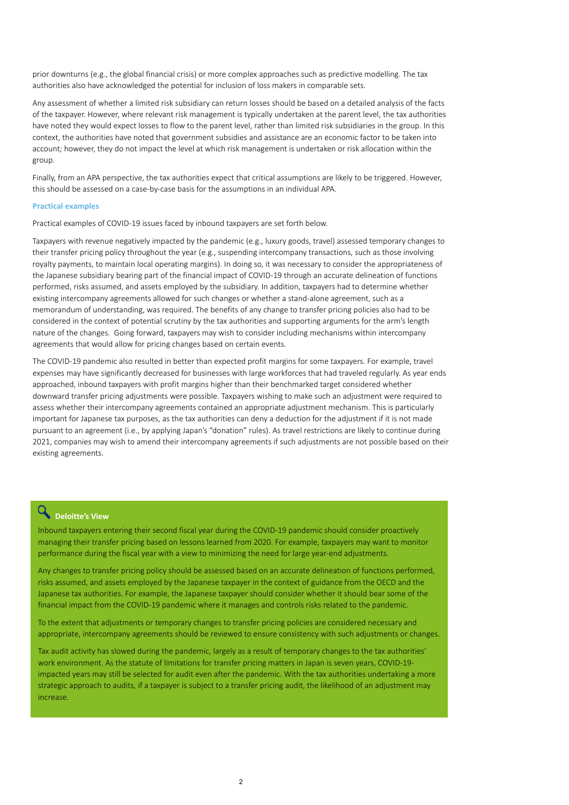prior downturns (e.g., the global financial crisis) or more complex approaches such as predictive modelling. The tax authorities also have acknowledged the potential for inclusion of loss makers in comparable sets.

Any assessment of whether a limited risk subsidiary can return losses should be based on a detailed analysis of the facts of the taxpayer. However, where relevant risk management is typically undertaken at the parent level, the tax authorities have noted they would expect losses to flow to the parent level, rather than limited risk subsidiaries in the group. In this context, the authorities have noted that government subsidies and assistance are an economic factor to be taken into account; however, they do not impact the level at which risk management is undertaken or risk allocation within the group.

Finally, from an APA perspective, the tax authorities expect that critical assumptions are likely to be triggered. However, this should be assessed on a case-by-case basis for the assumptions in an individual APA.

## **Practical examples**

Practical examples of COVID-19 issues faced by inbound taxpayers are set forth below.

Taxpayers with revenue negatively impacted by the pandemic (e.g., luxury goods, travel) assessed temporary changes to their transfer pricing policy throughout the year (e.g., suspending intercompany transactions, such as those involving royalty payments, to maintain local operating margins). In doing so, it was necessary to consider the appropriateness of the Japanese subsidiary bearing part of the financial impact of COVID-19 through an accurate delineation of functions performed, risks assumed, and assets employed by the subsidiary. In addition, taxpayers had to determine whether existing intercompany agreements allowed for such changes or whether a stand-alone agreement, such as a memorandum of understanding, was required. The benefits of any change to transfer pricing policies also had to be considered in the context of potential scrutiny by the tax authorities and supporting arguments for the arm's length nature of the changes. Going forward, taxpayers may wish to consider including mechanisms within intercompany agreements that would allow for pricing changes based on certain events.

The COVID-19 pandemic also resulted in better than expected profit margins for some taxpayers. For example, travel expenses may have significantly decreased for businesses with large workforces that had traveled regularly. As year ends approached, inbound taxpayers with profit margins higher than their benchmarked target considered whether downward transfer pricing adjustments were possible. Taxpayers wishing to make such an adjustment were required to assess whether their intercompany agreements contained an appropriate adjustment mechanism. This is particularly important for Japanese tax purposes, as the tax authorities can deny a deduction for the adjustment if it is not made pursuant to an agreement (i.e., by applying Japan's "donation" rules). As travel restrictions are likely to continue during 2021, companies may wish to amend their intercompany agreements if such adjustments are not possible based on their existing agreements.

#### Q **Deloitte's View**

Inbound taxpayers entering their second fiscal year during the COVID-19 pandemic should consider proactively managing their transfer pricing based on lessons learned from 2020. For example, taxpayers may want to monitor performance during the fiscal year with a view to minimizing the need for large year-end adjustments.

Any changes to transfer pricing policy should be assessed based on an accurate delineation of functions performed, risks assumed, and assets employed by the Japanese taxpayer in the context of guidance from the OECD and the Japanese tax authorities. For example, the Japanese taxpayer should consider whether it should bear some of the financial impact from the COVID-19 pandemic where it manages and controls risks related to the pandemic.

To the extent that adjustments or temporary changes to transfer pricing policies are considered necessary and appropriate, intercompany agreements should be reviewed to ensure consistency with such adjustments or changes.

Tax audit activity has slowed during the pandemic, largely as a result of temporary changes to the tax authorities' work environment. As the statute of limitations for transfer pricing matters in Japan is seven years, COVID-19 impacted years may still be selected for audit even after the pandemic. With the tax authorities undertaking a more strategic approach to audits, if a taxpayer is subject to a transfer pricing audit, the likelihood of an adjustment may increase.